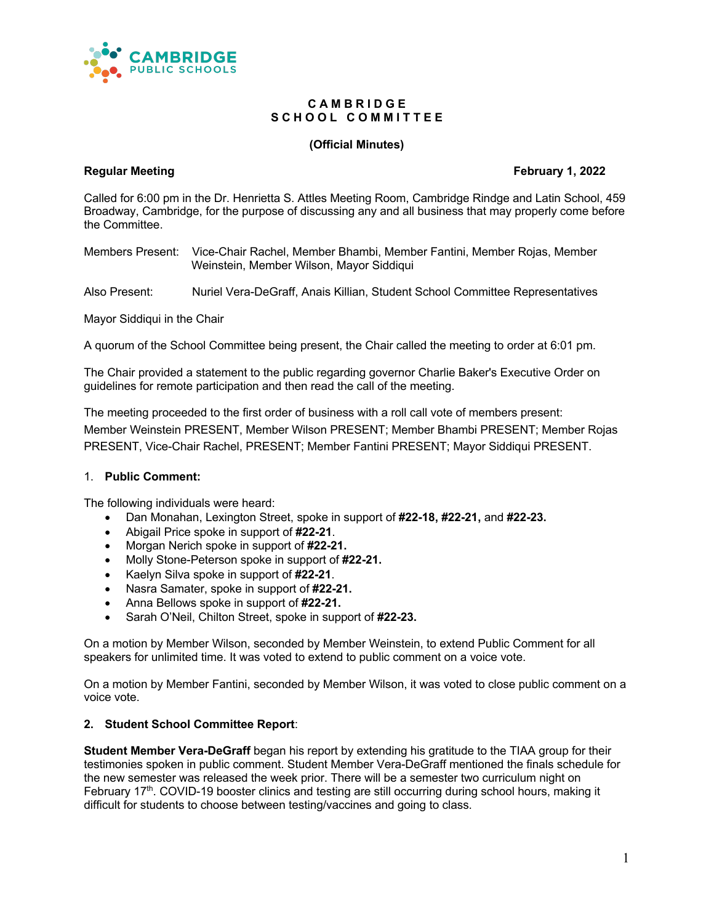

## **C A M B R I D G E** S C H O O L C O M M I T T E E

## **(Official Minutes)**

## **Regular Meeting February 1, 2022**

Called for 6:00 pm in the Dr. Henrietta S. Attles Meeting Room, Cambridge Rindge and Latin School, 459 Broadway, Cambridge, for the purpose of discussing any and all business that may properly come before the Committee.

Members Present: Vice-Chair Rachel, Member Bhambi, Member Fantini, Member Rojas, Member Weinstein, Member Wilson, Mayor Siddiqui

Also Present: Nuriel Vera-DeGraff, Anais Killian, Student School Committee Representatives

Mayor Siddiqui in the Chair

A quorum of the School Committee being present, the Chair called the meeting to order at 6:01 pm.

The Chair provided a statement to the public regarding governor Charlie Baker's Executive Order on guidelines for remote participation and then read the call of the meeting.

The meeting proceeded to the first order of business with a roll call vote of members present: Member Weinstein PRESENT, Member Wilson PRESENT; Member Bhambi PRESENT; Member Rojas PRESENT, Vice-Chair Rachel, PRESENT; Member Fantini PRESENT; Mayor Siddiqui PRESENT.

## 1. **Public Comment:**

The following individuals were heard:

- Dan Monahan, Lexington Street, spoke in support of **#22-18, #22-21,** and **#22-23.**
- Abigail Price spoke in support of **#22-21**.
- Morgan Nerich spoke in support of **#22-21.**
- Molly Stone-Peterson spoke in support of **#22-21.**
- Kaelyn Silva spoke in support of **#22-21**.
- Nasra Samater, spoke in support of **#22-21.**
- Anna Bellows spoke in support of **#22-21.**
- Sarah O'Neil, Chilton Street, spoke in support of **#22-23.**

On a motion by Member Wilson, seconded by Member Weinstein, to extend Public Comment for all speakers for unlimited time. It was voted to extend to public comment on a voice vote.

On a motion by Member Fantini, seconded by Member Wilson, it was voted to close public comment on a voice vote.

#### **2. Student School Committee Report**:

**Student Member Vera-DeGraff** began his report by extending his gratitude to the TIAA group for their testimonies spoken in public comment. Student Member Vera-DeGraff mentioned the finals schedule for the new semester was released the week prior. There will be a semester two curriculum night on February 17<sup>th</sup>. COVID-19 booster clinics and testing are still occurring during school hours, making it difficult for students to choose between testing/vaccines and going to class.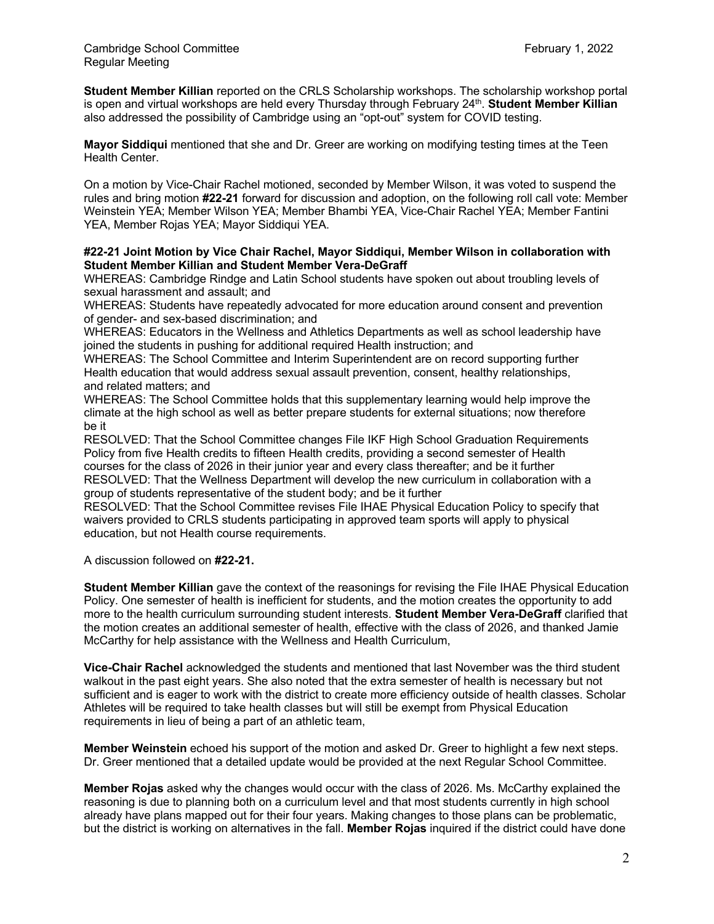**Student Member Killian** reported on the CRLS Scholarship workshops. The scholarship workshop portal is open and virtual workshops are held every Thursday through February 24th. **Student Member Killian**  also addressed the possibility of Cambridge using an "opt-out" system for COVID testing.

**Mayor Siddiqui** mentioned that she and Dr. Greer are working on modifying testing times at the Teen Health Center.

On a motion by Vice-Chair Rachel motioned, seconded by Member Wilson, it was voted to suspend the rules and bring motion **#22-21** forward for discussion and adoption, on the following roll call vote: Member Weinstein YEA; Member Wilson YEA; Member Bhambi YEA, Vice-Chair Rachel YEA; Member Fantini YEA, Member Rojas YEA; Mayor Siddiqui YEA.

## **#22-21 Joint Motion by Vice Chair Rachel, Mayor Siddiqui, Member Wilson in collaboration with Student Member Killian and Student Member Vera-DeGraff**

WHEREAS: Cambridge Rindge and Latin School students have spoken out about troubling levels of sexual harassment and assault; and

WHEREAS: Students have repeatedly advocated for more education around consent and prevention of gender- and sex-based discrimination; and

WHEREAS: Educators in the Wellness and Athletics Departments as well as school leadership have joined the students in pushing for additional required Health instruction; and

WHEREAS: The School Committee and Interim Superintendent are on record supporting further Health education that would address sexual assault prevention, consent, healthy relationships, and related matters; and

WHEREAS: The School Committee holds that this supplementary learning would help improve the climate at the high school as well as better prepare students for external situations; now therefore be it

RESOLVED: That the School Committee changes File IKF High School Graduation Requirements Policy from five Health credits to fifteen Health credits, providing a second semester of Health courses for the class of 2026 in their junior year and every class thereafter; and be it further RESOLVED: That the Wellness Department will develop the new curriculum in collaboration with a group of students representative of the student body; and be it further

RESOLVED: That the School Committee revises File IHAE Physical Education Policy to specify that waivers provided to CRLS students participating in approved team sports will apply to physical education, but not Health course requirements.

A discussion followed on **#22-21.**

**Student Member Killian** gave the context of the reasonings for revising the File IHAE Physical Education Policy. One semester of health is inefficient for students, and the motion creates the opportunity to add more to the health curriculum surrounding student interests. **Student Member Vera-DeGraff** clarified that the motion creates an additional semester of health, effective with the class of 2026, and thanked Jamie McCarthy for help assistance with the Wellness and Health Curriculum,

**Vice-Chair Rachel** acknowledged the students and mentioned that last November was the third student walkout in the past eight years. She also noted that the extra semester of health is necessary but not sufficient and is eager to work with the district to create more efficiency outside of health classes. Scholar Athletes will be required to take health classes but will still be exempt from Physical Education requirements in lieu of being a part of an athletic team,

**Member Weinstein** echoed his support of the motion and asked Dr. Greer to highlight a few next steps. Dr. Greer mentioned that a detailed update would be provided at the next Regular School Committee.

**Member Rojas** asked why the changes would occur with the class of 2026. Ms. McCarthy explained the reasoning is due to planning both on a curriculum level and that most students currently in high school already have plans mapped out for their four years. Making changes to those plans can be problematic, but the district is working on alternatives in the fall. **Member Rojas** inquired if the district could have done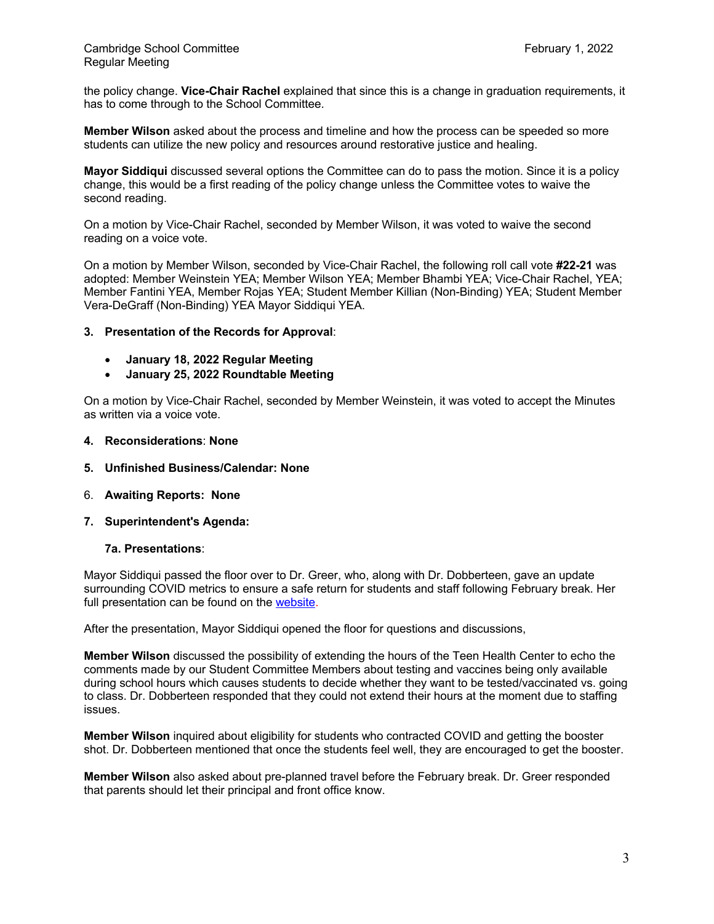the policy change. **Vice-Chair Rachel** explained that since this is a change in graduation requirements, it has to come through to the School Committee.

**Member Wilson** asked about the process and timeline and how the process can be speeded so more students can utilize the new policy and resources around restorative justice and healing.

**Mayor Siddiqui** discussed several options the Committee can do to pass the motion. Since it is a policy change, this would be a first reading of the policy change unless the Committee votes to waive the second reading.

On a motion by Vice-Chair Rachel, seconded by Member Wilson, it was voted to waive the second reading on a voice vote.

On a motion by Member Wilson, seconded by Vice-Chair Rachel, the following roll call vote **#22-21** was adopted: Member Weinstein YEA; Member Wilson YEA; Member Bhambi YEA; Vice-Chair Rachel, YEA; Member Fantini YEA, Member Rojas YEA; Student Member Killian (Non-Binding) YEA; Student Member Vera-DeGraff (Non-Binding) YEA Mayor Siddiqui YEA.

## **3. Presentation of the Records for Approval**:

- **January 18, 2022 Regular Meeting**
- **January 25, 2022 Roundtable Meeting**

On a motion by Vice-Chair Rachel, seconded by Member Weinstein, it was voted to accept the Minutes as written via a voice vote.

- **4. Reconsiderations**: **None**
- **5. Unfinished Business/Calendar: None**
- 6. **Awaiting Reports: None**
- **7. Superintendent's Agenda:**

## **7a. Presentations**:

Mayor Siddiqui passed the floor over to Dr. Greer, who, along with Dr. Dobberteen, gave an update surrounding COVID metrics to ensure a safe return for students and staff following February break. Her full presentation can be found on the website.

After the presentation, Mayor Siddiqui opened the floor for questions and discussions,

**Member Wilson** discussed the possibility of extending the hours of the Teen Health Center to echo the comments made by our Student Committee Members about testing and vaccines being only available during school hours which causes students to decide whether they want to be tested/vaccinated vs. going to class. Dr. Dobberteen responded that they could not extend their hours at the moment due to staffing issues.

**Member Wilson** inquired about eligibility for students who contracted COVID and getting the booster shot. Dr. Dobberteen mentioned that once the students feel well, they are encouraged to get the booster.

**Member Wilson** also asked about pre-planned travel before the February break. Dr. Greer responded that parents should let their principal and front office know.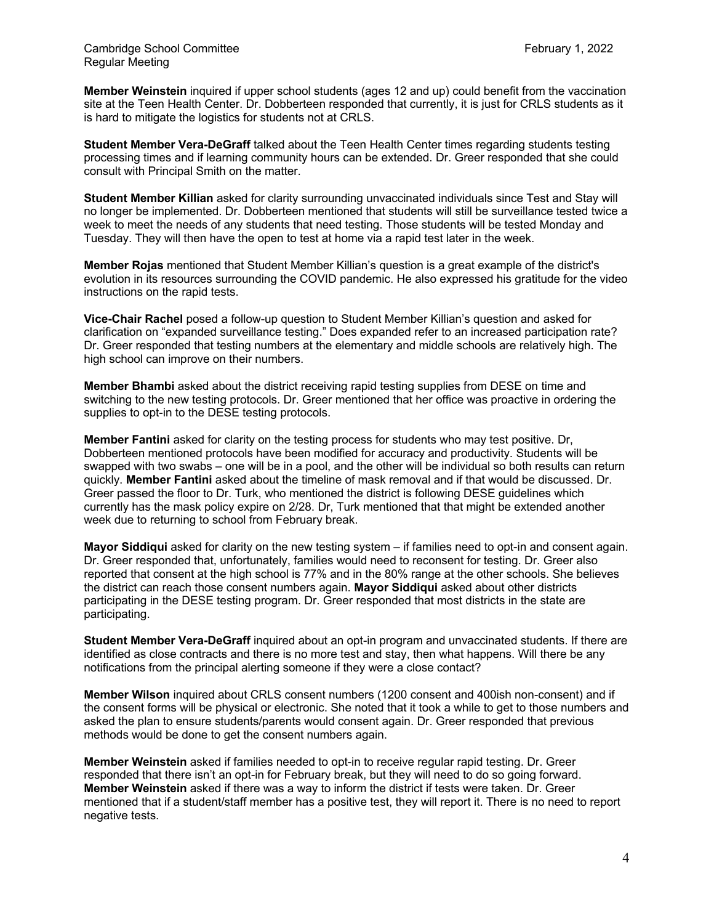**Member Weinstein** inquired if upper school students (ages 12 and up) could benefit from the vaccination site at the Teen Health Center. Dr. Dobberteen responded that currently, it is just for CRLS students as it is hard to mitigate the logistics for students not at CRLS.

**Student Member Vera-DeGraff** talked about the Teen Health Center times regarding students testing processing times and if learning community hours can be extended. Dr. Greer responded that she could consult with Principal Smith on the matter.

**Student Member Killian** asked for clarity surrounding unvaccinated individuals since Test and Stay will no longer be implemented. Dr. Dobberteen mentioned that students will still be surveillance tested twice a week to meet the needs of any students that need testing. Those students will be tested Monday and Tuesday. They will then have the open to test at home via a rapid test later in the week.

**Member Rojas** mentioned that Student Member Killian's question is a great example of the district's evolution in its resources surrounding the COVID pandemic. He also expressed his gratitude for the video instructions on the rapid tests.

**Vice-Chair Rachel** posed a follow-up question to Student Member Killian's question and asked for clarification on "expanded surveillance testing." Does expanded refer to an increased participation rate? Dr. Greer responded that testing numbers at the elementary and middle schools are relatively high. The high school can improve on their numbers.

**Member Bhambi** asked about the district receiving rapid testing supplies from DESE on time and switching to the new testing protocols. Dr. Greer mentioned that her office was proactive in ordering the supplies to opt-in to the DESE testing protocols.

**Member Fantini** asked for clarity on the testing process for students who may test positive. Dr, Dobberteen mentioned protocols have been modified for accuracy and productivity. Students will be swapped with two swabs – one will be in a pool, and the other will be individual so both results can return quickly. **Member Fantini** asked about the timeline of mask removal and if that would be discussed. Dr. Greer passed the floor to Dr. Turk, who mentioned the district is following DESE guidelines which currently has the mask policy expire on 2/28. Dr, Turk mentioned that that might be extended another week due to returning to school from February break.

**Mayor Siddiqui** asked for clarity on the new testing system – if families need to opt-in and consent again. Dr. Greer responded that, unfortunately, families would need to reconsent for testing. Dr. Greer also reported that consent at the high school is 77% and in the 80% range at the other schools. She believes the district can reach those consent numbers again. **Mayor Siddiqui** asked about other districts participating in the DESE testing program. Dr. Greer responded that most districts in the state are participating.

**Student Member Vera-DeGraff** inquired about an opt-in program and unvaccinated students. If there are identified as close contracts and there is no more test and stay, then what happens. Will there be any notifications from the principal alerting someone if they were a close contact?

**Member Wilson** inquired about CRLS consent numbers (1200 consent and 400ish non-consent) and if the consent forms will be physical or electronic. She noted that it took a while to get to those numbers and asked the plan to ensure students/parents would consent again. Dr. Greer responded that previous methods would be done to get the consent numbers again.

**Member Weinstein** asked if families needed to opt-in to receive regular rapid testing. Dr. Greer responded that there isn't an opt-in for February break, but they will need to do so going forward. **Member Weinstein** asked if there was a way to inform the district if tests were taken. Dr. Greer mentioned that if a student/staff member has a positive test, they will report it. There is no need to report negative tests.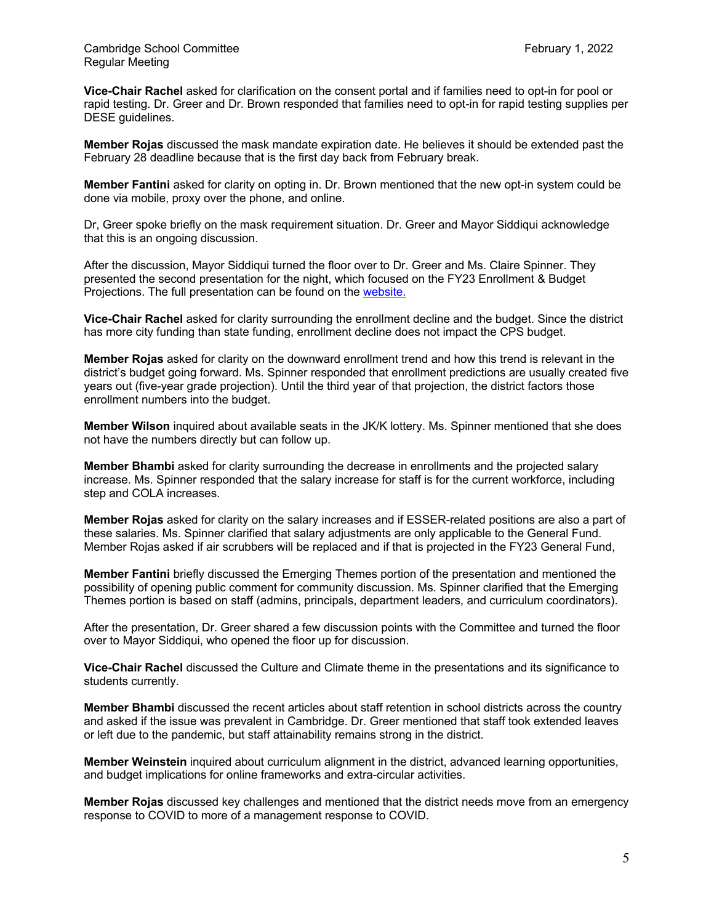**Vice-Chair Rachel** asked for clarification on the consent portal and if families need to opt-in for pool or rapid testing. Dr. Greer and Dr. Brown responded that families need to opt-in for rapid testing supplies per DESE guidelines.

**Member Rojas** discussed the mask mandate expiration date. He believes it should be extended past the February 28 deadline because that is the first day back from February break.

**Member Fantini** asked for clarity on opting in. Dr. Brown mentioned that the new opt-in system could be done via mobile, proxy over the phone, and online.

Dr, Greer spoke briefly on the mask requirement situation. Dr. Greer and Mayor Siddiqui acknowledge that this is an ongoing discussion.

After the discussion, Mayor Siddiqui turned the floor over to Dr. Greer and Ms. Claire Spinner. They presented the second presentation for the night, which focused on the FY23 Enrollment & Budget Projections. The full presentation can be found on the website.

**Vice-Chair Rachel** asked for clarity surrounding the enrollment decline and the budget. Since the district has more city funding than state funding, enrollment decline does not impact the CPS budget.

**Member Rojas** asked for clarity on the downward enrollment trend and how this trend is relevant in the district's budget going forward. Ms. Spinner responded that enrollment predictions are usually created five years out (five-year grade projection). Until the third year of that projection, the district factors those enrollment numbers into the budget.

**Member Wilson** inquired about available seats in the JK/K lottery. Ms. Spinner mentioned that she does not have the numbers directly but can follow up.

**Member Bhambi** asked for clarity surrounding the decrease in enrollments and the projected salary increase. Ms. Spinner responded that the salary increase for staff is for the current workforce, including step and COLA increases.

**Member Rojas** asked for clarity on the salary increases and if ESSER-related positions are also a part of these salaries. Ms. Spinner clarified that salary adjustments are only applicable to the General Fund. Member Rojas asked if air scrubbers will be replaced and if that is projected in the FY23 General Fund,

**Member Fantini** briefly discussed the Emerging Themes portion of the presentation and mentioned the possibility of opening public comment for community discussion. Ms. Spinner clarified that the Emerging Themes portion is based on staff (admins, principals, department leaders, and curriculum coordinators).

After the presentation, Dr. Greer shared a few discussion points with the Committee and turned the floor over to Mayor Siddiqui, who opened the floor up for discussion.

**Vice-Chair Rachel** discussed the Culture and Climate theme in the presentations and its significance to students currently.

**Member Bhambi** discussed the recent articles about staff retention in school districts across the country and asked if the issue was prevalent in Cambridge. Dr. Greer mentioned that staff took extended leaves or left due to the pandemic, but staff attainability remains strong in the district.

**Member Weinstein** inquired about curriculum alignment in the district, advanced learning opportunities, and budget implications for online frameworks and extra-circular activities.

**Member Rojas** discussed key challenges and mentioned that the district needs move from an emergency response to COVID to more of a management response to COVID.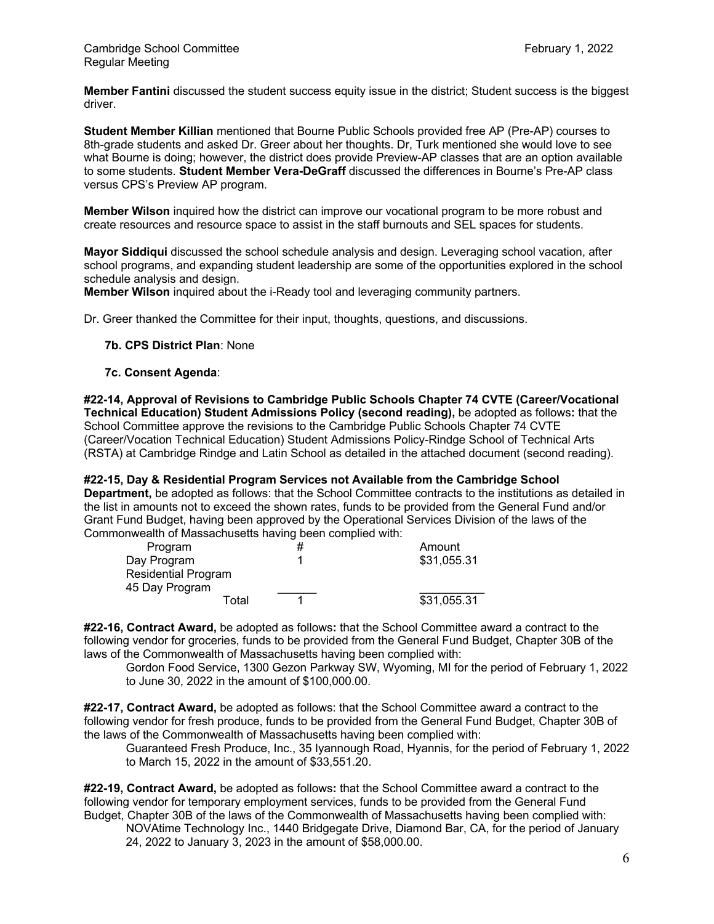**Member Fantini** discussed the student success equity issue in the district; Student success is the biggest driver.

**Student Member Killian** mentioned that Bourne Public Schools provided free AP (Pre-AP) courses to 8th-grade students and asked Dr. Greer about her thoughts. Dr, Turk mentioned she would love to see what Bourne is doing; however, the district does provide Preview-AP classes that are an option available to some students. **Student Member Vera-DeGraff** discussed the differences in Bourne's Pre-AP class versus CPS's Preview AP program.

**Member Wilson** inquired how the district can improve our vocational program to be more robust and create resources and resource space to assist in the staff burnouts and SEL spaces for students.

**Mayor Siddiqui** discussed the school schedule analysis and design. Leveraging school vacation, after school programs, and expanding student leadership are some of the opportunities explored in the school schedule analysis and design.

**Member Wilson** inquired about the i-Ready tool and leveraging community partners.

Dr. Greer thanked the Committee for their input, thoughts, questions, and discussions.

## **7b. CPS District Plan**: None

## **7c. Consent Agenda**:

**#22-14, Approval of Revisions to Cambridge Public Schools Chapter 74 CVTE (Career/Vocational Technical Education) Student Admissions Policy (second reading),** be adopted as follows**:** that the School Committee approve the revisions to the Cambridge Public Schools Chapter 74 CVTE (Career/Vocation Technical Education) Student Admissions Policy-Rindge School of Technical Arts (RSTA) at Cambridge Rindge and Latin School as detailed in the attached document (second reading).

**#22-15, Day & Residential Program Services not Available from the Cambridge School Department,** be adopted as follows: that the School Committee contracts to the institutions as detailed in the list in amounts not to exceed the shown rates, funds to be provided from the General Fund and/or Grant Fund Budget, having been approved by the Operational Services Division of the laws of the Commonwealth of Massachusetts having been complied with:

| Program             | # | Amount      |
|---------------------|---|-------------|
| Day Program         |   | \$31,055.31 |
| Residential Program |   |             |
| 45 Day Program      |   |             |
| Total               |   | \$31,055.31 |

**#22-16, Contract Award,** be adopted as follows**:** that the School Committee award a contract to the following vendor for groceries, funds to be provided from the General Fund Budget, Chapter 30B of the laws of the Commonwealth of Massachusetts having been complied with:

Gordon Food Service, 1300 Gezon Parkway SW, Wyoming, MI for the period of February 1, 2022 to June 30, 2022 in the amount of \$100,000.00.

**#22-17, Contract Award,** be adopted as follows: that the School Committee award a contract to the following vendor for fresh produce, funds to be provided from the General Fund Budget, Chapter 30B of the laws of the Commonwealth of Massachusetts having been complied with:

Guaranteed Fresh Produce, Inc., 35 Iyannough Road, Hyannis, for the period of February 1, 2022 to March 15, 2022 in the amount of \$33,551.20.

**#22-19, Contract Award,** be adopted as follows**:** that the School Committee award a contract to the following vendor for temporary employment services, funds to be provided from the General Fund Budget, Chapter 30B of the laws of the Commonwealth of Massachusetts having been complied with:

NOVAtime Technology Inc., 1440 Bridgegate Drive, Diamond Bar, CA, for the period of January 24, 2022 to January 3, 2023 in the amount of \$58,000.00.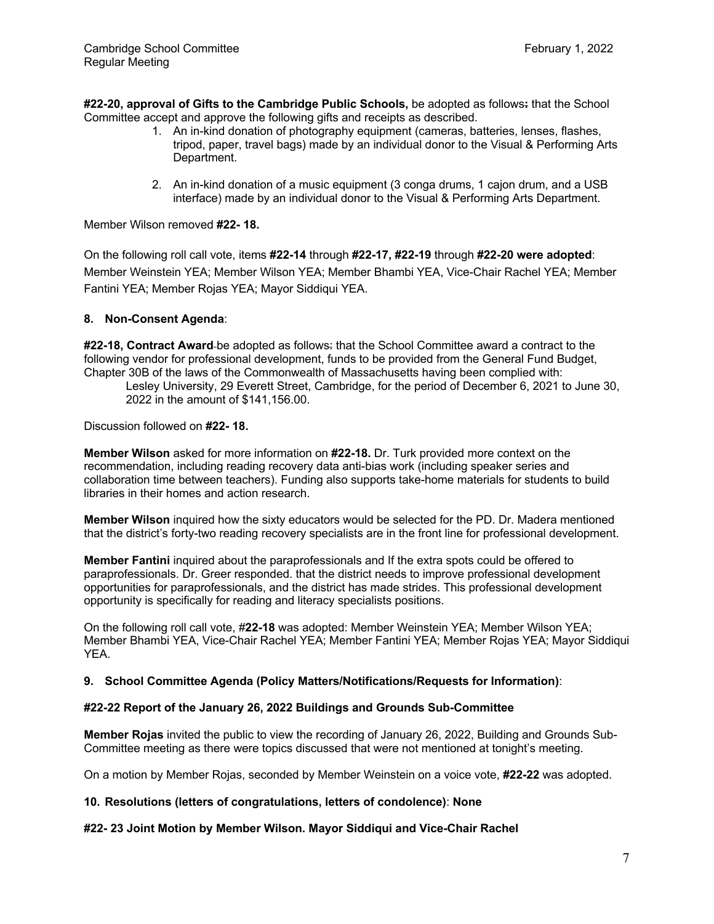**#22-20, approval of Gifts to the Cambridge Public Schools,** be adopted as follows**:** that the School Committee accept and approve the following gifts and receipts as described.

- 1. An in-kind donation of photography equipment (cameras, batteries, lenses, flashes, tripod, paper, travel bags) made by an individual donor to the Visual & Performing Arts Department.
- 2. An in-kind donation of a music equipment (3 conga drums, 1 cajon drum, and a USB interface) made by an individual donor to the Visual & Performing Arts Department.

Member Wilson removed **#22- 18.**

On the following roll call vote, items **#22-14** through **#22-17, #22-19** through **#22-20 were adopted**: Member Weinstein YEA; Member Wilson YEA; Member Bhambi YEA, Vice-Chair Rachel YEA; Member Fantini YEA; Member Rojas YEA; Mayor Siddiqui YEA.

## **8. Non-Consent Agenda**:

**#22-18, Contract Award** be adopted as follows: that the School Committee award a contract to the following vendor for professional development, funds to be provided from the General Fund Budget, Chapter 30B of the laws of the Commonwealth of Massachusetts having been complied with:

Lesley University, 29 Everett Street, Cambridge, for the period of December 6, 2021 to June 30, 2022 in the amount of \$141,156.00.

Discussion followed on **#22- 18.**

**Member Wilson** asked for more information on **#22-18.** Dr. Turk provided more context on the recommendation, including reading recovery data anti-bias work (including speaker series and collaboration time between teachers). Funding also supports take-home materials for students to build libraries in their homes and action research.

**Member Wilson** inquired how the sixty educators would be selected for the PD. Dr. Madera mentioned that the district's forty-two reading recovery specialists are in the front line for professional development.

**Member Fantini** inquired about the paraprofessionals and If the extra spots could be offered to paraprofessionals. Dr. Greer responded. that the district needs to improve professional development opportunities for paraprofessionals, and the district has made strides. This professional development opportunity is specifically for reading and literacy specialists positions.

On the following roll call vote, #**22-18** was adopted: Member Weinstein YEA; Member Wilson YEA; Member Bhambi YEA, Vice-Chair Rachel YEA; Member Fantini YEA; Member Rojas YEA; Mayor Siddiqui YEA.

## **9. School Committee Agenda (Policy Matters/Notifications/Requests for Information)**:

## **#22-22 Report of the January 26, 2022 Buildings and Grounds Sub-Committee**

**Member Rojas** invited the public to view the recording of January 26, 2022, Building and Grounds Sub-Committee meeting as there were topics discussed that were not mentioned at tonight's meeting.

On a motion by Member Rojas, seconded by Member Weinstein on a voice vote, **#22-22** was adopted.

## **10. Resolutions (letters of congratulations, letters of condolence)**: **None**

## **#22- 23 Joint Motion by Member Wilson. Mayor Siddiqui and Vice-Chair Rachel**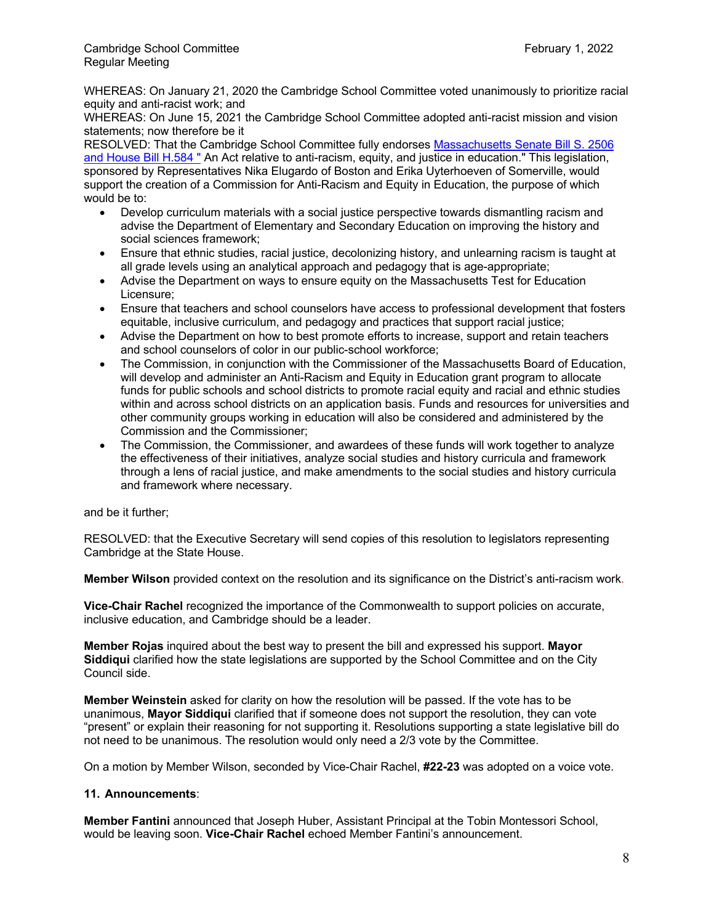WHEREAS: On January 21, 2020 the Cambridge School Committee voted unanimously to prioritize racial equity and anti-racist work; and

WHEREAS: On June 15, 2021 the Cambridge School Committee adopted anti-racist mission and vision statements; now therefore be it

RESOLVED: That the Cambridge School Committee fully endorses Massachusetts Senate Bill S. 2506 and House Bill H.584 " An Act relative to anti-racism, equity, and justice in education." This legislation, sponsored by Representatives Nika Elugardo of Boston and Erika Uyterhoeven of Somerville, would support the creation of a Commission for Anti-Racism and Equity in Education, the purpose of which would be to:

- Develop curriculum materials with a social justice perspective towards dismantling racism and advise the Department of Elementary and Secondary Education on improving the history and social sciences framework;
- Ensure that ethnic studies, racial justice, decolonizing history, and unlearning racism is taught at all grade levels using an analytical approach and pedagogy that is age-appropriate;
- Advise the Department on ways to ensure equity on the Massachusetts Test for Education Licensure;
- Ensure that teachers and school counselors have access to professional development that fosters equitable, inclusive curriculum, and pedagogy and practices that support racial justice;
- Advise the Department on how to best promote efforts to increase, support and retain teachers and school counselors of color in our public-school workforce;
- The Commission, in conjunction with the Commissioner of the Massachusetts Board of Education, will develop and administer an Anti-Racism and Equity in Education grant program to allocate funds for public schools and school districts to promote racial equity and racial and ethnic studies within and across school districts on an application basis. Funds and resources for universities and other community groups working in education will also be considered and administered by the Commission and the Commissioner;
- The Commission, the Commissioner, and awardees of these funds will work together to analyze the effectiveness of their initiatives, analyze social studies and history curricula and framework through a lens of racial justice, and make amendments to the social studies and history curricula and framework where necessary.

and be it further;

RESOLVED: that the Executive Secretary will send copies of this resolution to legislators representing Cambridge at the State House.

**Member Wilson** provided context on the resolution and its significance on the District's anti-racism work.

**Vice-Chair Rachel** recognized the importance of the Commonwealth to support policies on accurate, inclusive education, and Cambridge should be a leader.

**Member Rojas** inquired about the best way to present the bill and expressed his support. **Mayor Siddiqui** clarified how the state legislations are supported by the School Committee and on the City Council side.

**Member Weinstein** asked for clarity on how the resolution will be passed. If the vote has to be unanimous, **Mayor Siddiqui** clarified that if someone does not support the resolution, they can vote "present" or explain their reasoning for not supporting it. Resolutions supporting a state legislative bill do not need to be unanimous. The resolution would only need a 2/3 vote by the Committee.

On a motion by Member Wilson, seconded by Vice-Chair Rachel, **#22-23** was adopted on a voice vote.

# **11. Announcements**:

**Member Fantini** announced that Joseph Huber, Assistant Principal at the Tobin Montessori School, would be leaving soon. **Vice-Chair Rachel** echoed Member Fantini's announcement.